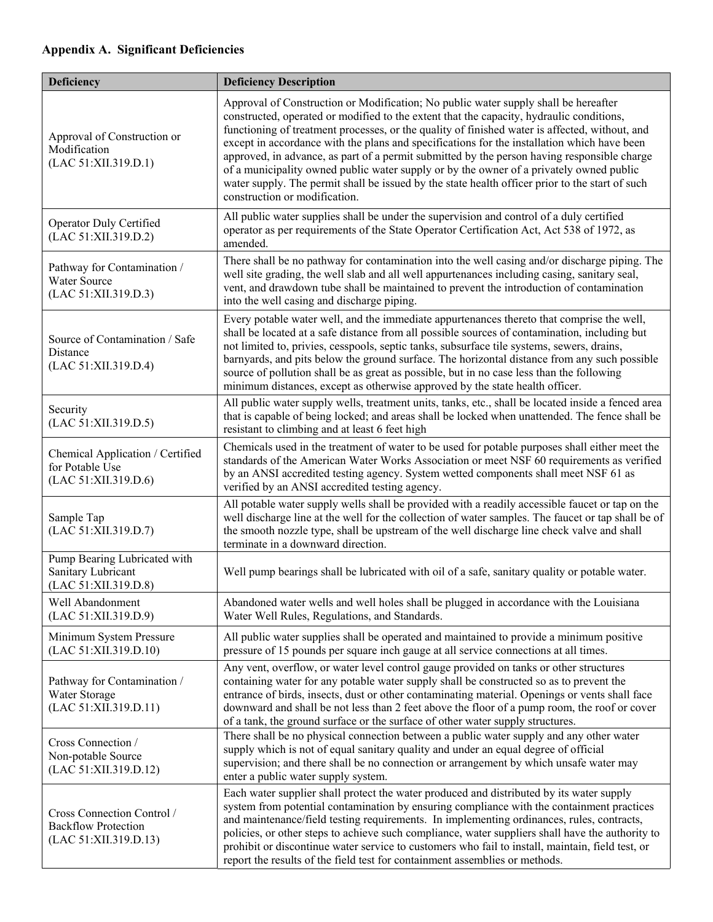## **Appendix A. Significant Deficiencies**

| Deficiency                                                                        | <b>Deficiency Description</b>                                                                                                                                                                                                                                                                                                                                                                                                                                                                                                                                                                                                                                                                                  |  |  |
|-----------------------------------------------------------------------------------|----------------------------------------------------------------------------------------------------------------------------------------------------------------------------------------------------------------------------------------------------------------------------------------------------------------------------------------------------------------------------------------------------------------------------------------------------------------------------------------------------------------------------------------------------------------------------------------------------------------------------------------------------------------------------------------------------------------|--|--|
| Approval of Construction or<br>Modification<br>(LAC 51:XII.319.D.1)               | Approval of Construction or Modification; No public water supply shall be hereafter<br>constructed, operated or modified to the extent that the capacity, hydraulic conditions,<br>functioning of treatment processes, or the quality of finished water is affected, without, and<br>except in accordance with the plans and specifications for the installation which have been<br>approved, in advance, as part of a permit submitted by the person having responsible charge<br>of a municipality owned public water supply or by the owner of a privately owned public<br>water supply. The permit shall be issued by the state health officer prior to the start of such<br>construction or modification. |  |  |
| Operator Duly Certified<br>(LAC 51:XII.319.D.2)                                   | All public water supplies shall be under the supervision and control of a duly certified<br>operator as per requirements of the State Operator Certification Act, Act 538 of 1972, as<br>amended.                                                                                                                                                                                                                                                                                                                                                                                                                                                                                                              |  |  |
| Pathway for Contamination /<br>Water Source<br>(LAC 51:XII.319.D.3)               | There shall be no pathway for contamination into the well casing and/or discharge piping. The<br>well site grading, the well slab and all well appurtenances including casing, sanitary seal,<br>vent, and drawdown tube shall be maintained to prevent the introduction of contamination<br>into the well casing and discharge piping.                                                                                                                                                                                                                                                                                                                                                                        |  |  |
| Source of Contamination / Safe<br>Distance<br>(LAC 51:XII.319.D.4)                | Every potable water well, and the immediate appurtenances thereto that comprise the well,<br>shall be located at a safe distance from all possible sources of contamination, including but<br>not limited to, privies, cesspools, septic tanks, subsurface tile systems, sewers, drains,<br>barnyards, and pits below the ground surface. The horizontal distance from any such possible<br>source of pollution shall be as great as possible, but in no case less than the following<br>minimum distances, except as otherwise approved by the state health officer.                                                                                                                                          |  |  |
| Security<br>(LAC 51:XII.319.D.5)                                                  | All public water supply wells, treatment units, tanks, etc., shall be located inside a fenced area<br>that is capable of being locked; and areas shall be locked when unattended. The fence shall be<br>resistant to climbing and at least 6 feet high                                                                                                                                                                                                                                                                                                                                                                                                                                                         |  |  |
| Chemical Application / Certified<br>for Potable Use<br>(LAC 51:XII.319.D.6)       | Chemicals used in the treatment of water to be used for potable purposes shall either meet the<br>standards of the American Water Works Association or meet NSF 60 requirements as verified<br>by an ANSI accredited testing agency. System wetted components shall meet NSF 61 as<br>verified by an ANSI accredited testing agency.                                                                                                                                                                                                                                                                                                                                                                           |  |  |
| Sample Tap<br>(LAC 51:XII.319.D.7)                                                | All potable water supply wells shall be provided with a readily accessible faucet or tap on the<br>well discharge line at the well for the collection of water samples. The faucet or tap shall be of<br>the smooth nozzle type, shall be upstream of the well discharge line check valve and shall<br>terminate in a downward direction.                                                                                                                                                                                                                                                                                                                                                                      |  |  |
| Pump Bearing Lubricated with<br>Sanitary Lubricant<br>(LAC 51:XII.319.D.8)        | Well pump bearings shall be lubricated with oil of a safe, sanitary quality or potable water.                                                                                                                                                                                                                                                                                                                                                                                                                                                                                                                                                                                                                  |  |  |
| Well Abandonment<br>(LAC 51:XII.319.D.9)                                          | Abandoned water wells and well holes shall be plugged in accordance with the Louisiana<br>Water Well Rules, Regulations, and Standards.                                                                                                                                                                                                                                                                                                                                                                                                                                                                                                                                                                        |  |  |
| Minimum System Pressure<br>(LAC 51:XII.319.D.10)                                  | All public water supplies shall be operated and maintained to provide a minimum positive<br>pressure of 15 pounds per square inch gauge at all service connections at all times.                                                                                                                                                                                                                                                                                                                                                                                                                                                                                                                               |  |  |
| Pathway for Contamination /<br>Water Storage<br>(LAC 51:XII.319.D.11)             | Any vent, overflow, or water level control gauge provided on tanks or other structures<br>containing water for any potable water supply shall be constructed so as to prevent the<br>entrance of birds, insects, dust or other contaminating material. Openings or vents shall face<br>downward and shall be not less than 2 feet above the floor of a pump room, the roof or cover<br>of a tank, the ground surface or the surface of other water supply structures.                                                                                                                                                                                                                                          |  |  |
| Cross Connection /<br>Non-potable Source<br>(LAC 51:XII.319.D.12)                 | There shall be no physical connection between a public water supply and any other water<br>supply which is not of equal sanitary quality and under an equal degree of official<br>supervision; and there shall be no connection or arrangement by which unsafe water may<br>enter a public water supply system.                                                                                                                                                                                                                                                                                                                                                                                                |  |  |
| Cross Connection Control /<br><b>Backflow Protection</b><br>(LAC 51:XII.319.D.13) | Each water supplier shall protect the water produced and distributed by its water supply<br>system from potential contamination by ensuring compliance with the containment practices<br>and maintenance/field testing requirements. In implementing ordinances, rules, contracts,<br>policies, or other steps to achieve such compliance, water suppliers shall have the authority to<br>prohibit or discontinue water service to customers who fail to install, maintain, field test, or<br>report the results of the field test for containment assemblies or methods.                                                                                                                                      |  |  |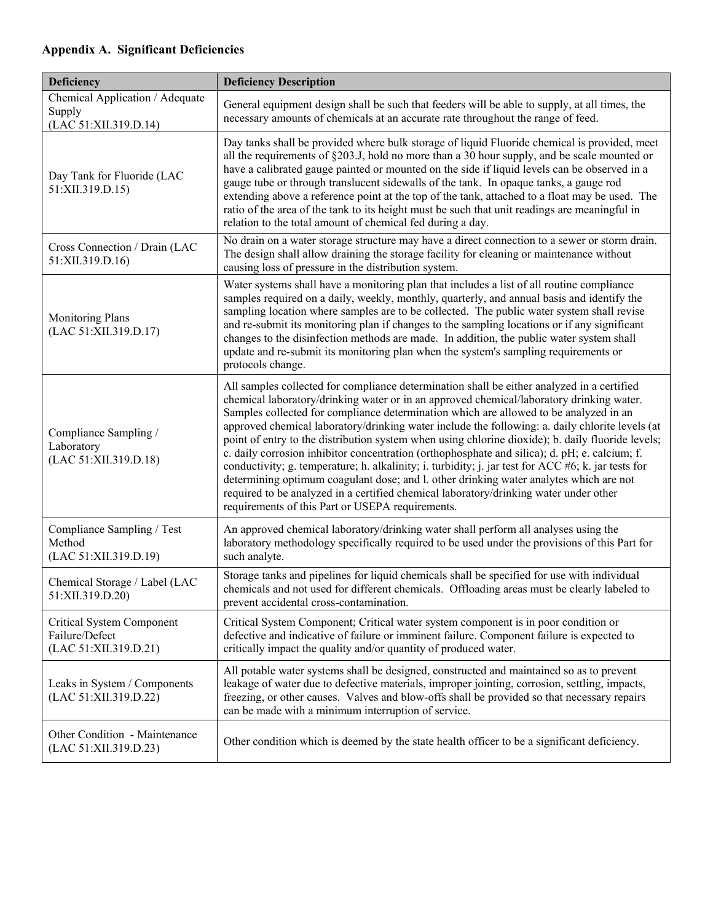## **Appendix A. Significant Deficiencies**

| Deficiency                                                           | <b>Deficiency Description</b>                                                                                                                                                                                                                                                                                                                                                                                                                                                                                                                                                                                                                                                                                                                                                                                                                                                                                                          |  |  |
|----------------------------------------------------------------------|----------------------------------------------------------------------------------------------------------------------------------------------------------------------------------------------------------------------------------------------------------------------------------------------------------------------------------------------------------------------------------------------------------------------------------------------------------------------------------------------------------------------------------------------------------------------------------------------------------------------------------------------------------------------------------------------------------------------------------------------------------------------------------------------------------------------------------------------------------------------------------------------------------------------------------------|--|--|
| Chemical Application / Adequate<br>Supply<br>(LAC 51:XII.319.D.14)   | General equipment design shall be such that feeders will be able to supply, at all times, the<br>necessary amounts of chemicals at an accurate rate throughout the range of feed.                                                                                                                                                                                                                                                                                                                                                                                                                                                                                                                                                                                                                                                                                                                                                      |  |  |
| Day Tank for Fluoride (LAC<br>51:XII.319.D.15)                       | Day tanks shall be provided where bulk storage of liquid Fluoride chemical is provided, meet<br>all the requirements of $\S 203$ . J, hold no more than a 30 hour supply, and be scale mounted or<br>have a calibrated gauge painted or mounted on the side if liquid levels can be observed in a<br>gauge tube or through translucent sidewalls of the tank. In opaque tanks, a gauge rod<br>extending above a reference point at the top of the tank, attached to a float may be used. The<br>ratio of the area of the tank to its height must be such that unit readings are meaningful in<br>relation to the total amount of chemical fed during a day.                                                                                                                                                                                                                                                                            |  |  |
| Cross Connection / Drain (LAC<br>51:XII.319.D.16)                    | No drain on a water storage structure may have a direct connection to a sewer or storm drain.<br>The design shall allow draining the storage facility for cleaning or maintenance without<br>causing loss of pressure in the distribution system.                                                                                                                                                                                                                                                                                                                                                                                                                                                                                                                                                                                                                                                                                      |  |  |
| <b>Monitoring Plans</b><br>(LAC 51:XII.319.D.17)                     | Water systems shall have a monitoring plan that includes a list of all routine compliance<br>samples required on a daily, weekly, monthly, quarterly, and annual basis and identify the<br>sampling location where samples are to be collected. The public water system shall revise<br>and re-submit its monitoring plan if changes to the sampling locations or if any significant<br>changes to the disinfection methods are made. In addition, the public water system shall<br>update and re-submit its monitoring plan when the system's sampling requirements or<br>protocols change.                                                                                                                                                                                                                                                                                                                                           |  |  |
| Compliance Sampling /<br>Laboratory<br>(LAC 51:XII.319.D.18)         | All samples collected for compliance determination shall be either analyzed in a certified<br>chemical laboratory/drinking water or in an approved chemical/laboratory drinking water.<br>Samples collected for compliance determination which are allowed to be analyzed in an<br>approved chemical laboratory/drinking water include the following: a. daily chlorite levels (at<br>point of entry to the distribution system when using chlorine dioxide); b. daily fluoride levels;<br>c. daily corrosion inhibitor concentration (orthophosphate and silica); d. pH; e. calcium; f.<br>conductivity; g. temperature; h. alkalinity; i. turbidity; j. jar test for ACC #6; k. jar tests for<br>determining optimum coagulant dose; and l. other drinking water analytes which are not<br>required to be analyzed in a certified chemical laboratory/drinking water under other<br>requirements of this Part or USEPA requirements. |  |  |
| Compliance Sampling / Test<br>Method<br>(LAC 51:XII.319.D.19)        | An approved chemical laboratory/drinking water shall perform all analyses using the<br>laboratory methodology specifically required to be used under the provisions of this Part for<br>such analyte.                                                                                                                                                                                                                                                                                                                                                                                                                                                                                                                                                                                                                                                                                                                                  |  |  |
| Chemical Storage / Label (LAC<br>51:XII.319.D.20)                    | Storage tanks and pipelines for liquid chemicals shall be specified for use with individual<br>chemicals and not used for different chemicals. Offloading areas must be clearly labeled to<br>prevent accidental cross-contamination.                                                                                                                                                                                                                                                                                                                                                                                                                                                                                                                                                                                                                                                                                                  |  |  |
| Critical System Component<br>Failure/Defect<br>(LAC 51:XII.319.D.21) | Critical System Component; Critical water system component is in poor condition or<br>defective and indicative of failure or imminent failure. Component failure is expected to<br>critically impact the quality and/or quantity of produced water.                                                                                                                                                                                                                                                                                                                                                                                                                                                                                                                                                                                                                                                                                    |  |  |
| Leaks in System / Components<br>(LAC 51:XII.319.D.22)                | All potable water systems shall be designed, constructed and maintained so as to prevent<br>leakage of water due to defective materials, improper jointing, corrosion, settling, impacts,<br>freezing, or other causes. Valves and blow-offs shall be provided so that necessary repairs<br>can be made with a minimum interruption of service.                                                                                                                                                                                                                                                                                                                                                                                                                                                                                                                                                                                        |  |  |
| Other Condition - Maintenance<br>(LAC 51:XII.319.D.23)               | Other condition which is deemed by the state health officer to be a significant deficiency.                                                                                                                                                                                                                                                                                                                                                                                                                                                                                                                                                                                                                                                                                                                                                                                                                                            |  |  |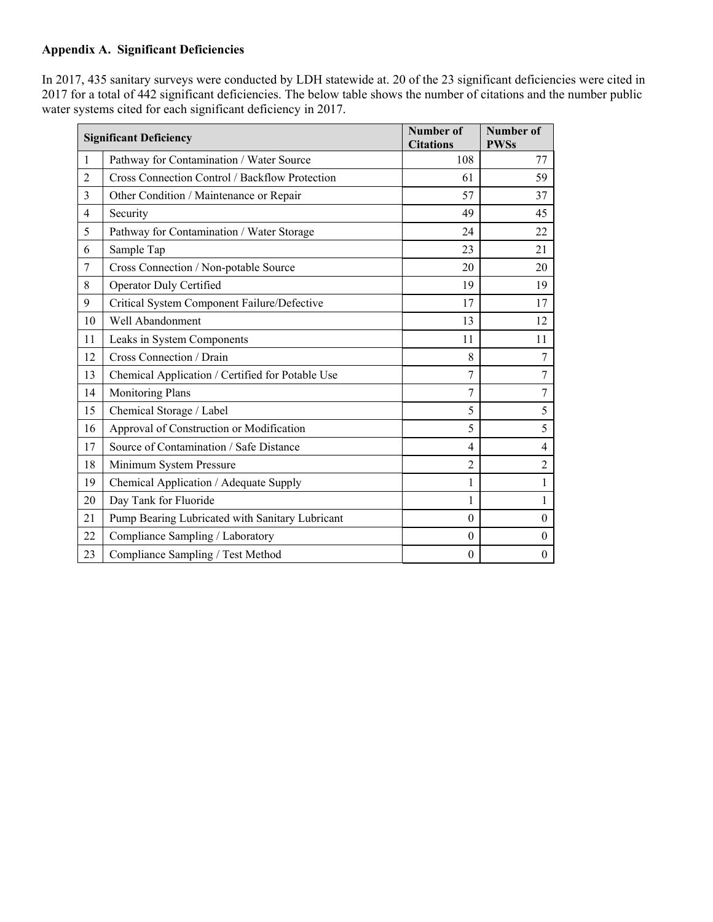## **Appendix A. Significant Deficiencies**

In 2017, 435 sanitary surveys were conducted by LDH statewide at. 20 of the 23 significant deficiencies were cited in 2017 for a total of 442 significant deficiencies. The below table shows the number of citations and the number public water systems cited for each significant deficiency in 2017.

| <b>Significant Deficiency</b> |                                                  | <b>Number of</b><br><b>Citations</b> | Number of<br><b>PWSs</b> |
|-------------------------------|--------------------------------------------------|--------------------------------------|--------------------------|
| $\mathbf{1}$                  | Pathway for Contamination / Water Source         | 108                                  | 77                       |
| $\overline{2}$                | Cross Connection Control / Backflow Protection   | 61                                   | 59                       |
| 3                             | Other Condition / Maintenance or Repair          | 57                                   | 37                       |
| 4                             | Security                                         | 49                                   | 45                       |
| 5                             | Pathway for Contamination / Water Storage        | 24                                   | 22                       |
| 6                             | Sample Tap                                       | 23                                   | 21                       |
| 7                             | Cross Connection / Non-potable Source            | 20                                   | 20                       |
| 8                             | Operator Duly Certified                          | 19                                   | 19                       |
| 9                             | Critical System Component Failure/Defective      | 17                                   | 17                       |
| 10                            | Well Abandonment                                 | 13                                   | 12                       |
| 11                            | Leaks in System Components                       | 11                                   | 11                       |
| 12                            | Cross Connection / Drain                         | 8                                    | $\tau$                   |
| 13                            | Chemical Application / Certified for Potable Use | 7                                    | $\tau$                   |
| 14                            | <b>Monitoring Plans</b>                          | 7                                    | 7                        |
| 15                            | Chemical Storage / Label                         | 5                                    | 5                        |
| 16                            | Approval of Construction or Modification         | 5                                    | 5                        |
| 17                            | Source of Contamination / Safe Distance          | 4                                    | $\overline{4}$           |
| 18                            | Minimum System Pressure                          | $\overline{2}$                       | $\overline{2}$           |
| 19                            | Chemical Application / Adequate Supply           | 1                                    | $\mathbf{1}$             |
| 20                            | Day Tank for Fluoride                            | 1                                    | $\mathbf{1}$             |
| 21                            | Pump Bearing Lubricated with Sanitary Lubricant  | $\boldsymbol{0}$                     | $\boldsymbol{0}$         |
| 22                            | Compliance Sampling / Laboratory                 | $\boldsymbol{0}$                     | $\boldsymbol{0}$         |
| 23                            | Compliance Sampling / Test Method                | $\mathbf{0}$                         | $\boldsymbol{0}$         |